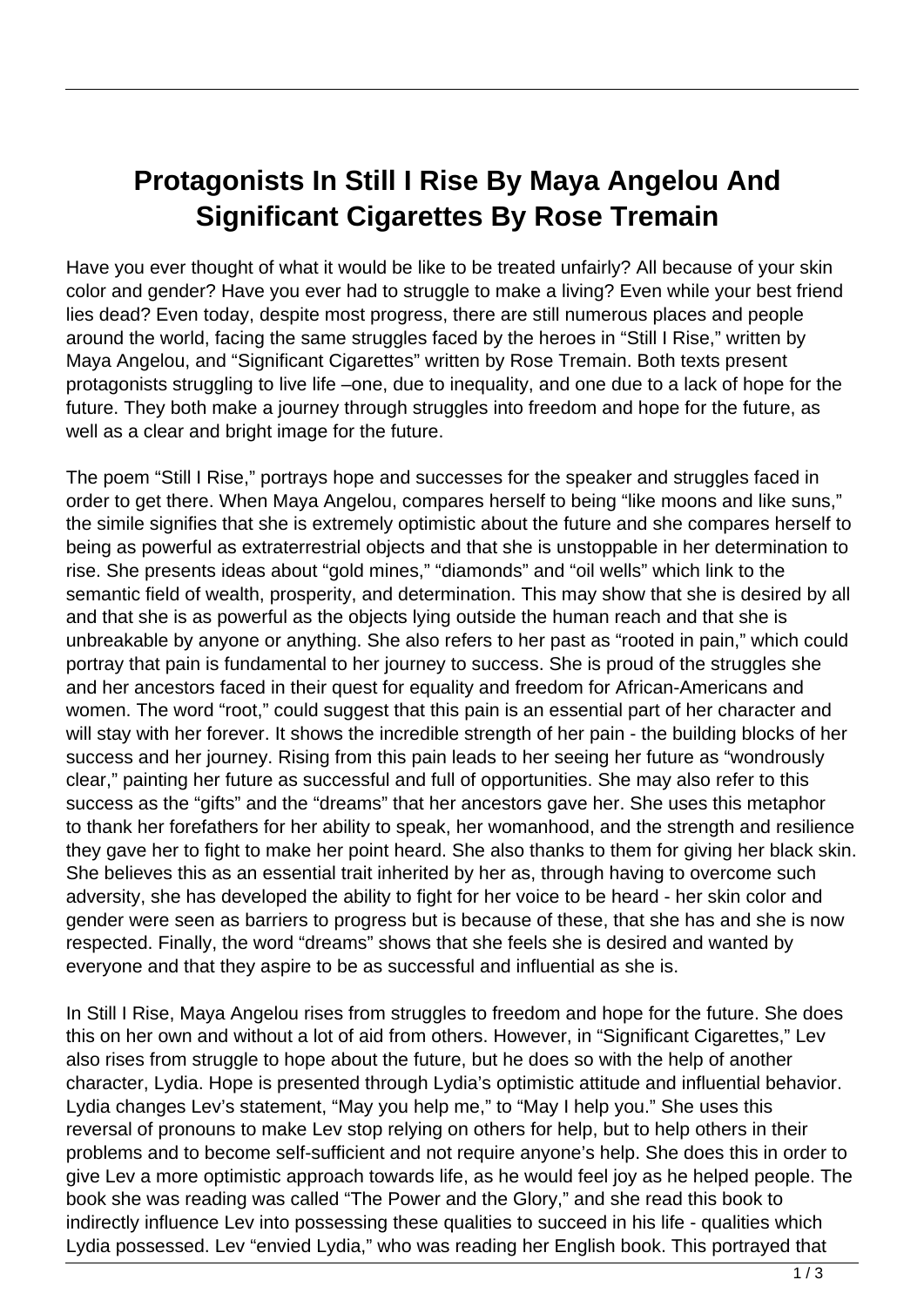## **Protagonists In Still I Rise By Maya Angelou And Significant Cigarettes By Rose Tremain**

Have you ever thought of what it would be like to be treated unfairly? All because of your skin color and gender? Have you ever had to struggle to make a living? Even while your best friend lies dead? Even today, despite most progress, there are still numerous places and people around the world, facing the same struggles faced by the heroes in "Still I Rise," written by Maya Angelou, and "Significant Cigarettes" written by Rose Tremain. Both texts present protagonists struggling to live life –one, due to inequality, and one due to a lack of hope for the future. They both make a journey through struggles into freedom and hope for the future, as well as a clear and bright image for the future.

The poem "Still I Rise," portrays hope and successes for the speaker and struggles faced in order to get there. When Maya Angelou, compares herself to being "like moons and like suns," the simile signifies that she is extremely optimistic about the future and she compares herself to being as powerful as extraterrestrial objects and that she is unstoppable in her determination to rise. She presents ideas about "gold mines," "diamonds" and "oil wells" which link to the semantic field of wealth, prosperity, and determination. This may show that she is desired by all and that she is as powerful as the objects lying outside the human reach and that she is unbreakable by anyone or anything. She also refers to her past as "rooted in pain," which could portray that pain is fundamental to her journey to success. She is proud of the struggles she and her ancestors faced in their quest for equality and freedom for African-Americans and women. The word "root," could suggest that this pain is an essential part of her character and will stay with her forever. It shows the incredible strength of her pain - the building blocks of her success and her journey. Rising from this pain leads to her seeing her future as "wondrously clear," painting her future as successful and full of opportunities. She may also refer to this success as the "gifts" and the "dreams" that her ancestors gave her. She uses this metaphor to thank her forefathers for her ability to speak, her womanhood, and the strength and resilience they gave her to fight to make her point heard. She also thanks to them for giving her black skin. She believes this as an essential trait inherited by her as, through having to overcome such adversity, she has developed the ability to fight for her voice to be heard - her skin color and gender were seen as barriers to progress but is because of these, that she has and she is now respected. Finally, the word "dreams" shows that she feels she is desired and wanted by everyone and that they aspire to be as successful and influential as she is.

In Still I Rise, Maya Angelou rises from struggles to freedom and hope for the future. She does this on her own and without a lot of aid from others. However, in "Significant Cigarettes," Lev also rises from struggle to hope about the future, but he does so with the help of another character, Lydia. Hope is presented through Lydia's optimistic attitude and influential behavior. Lydia changes Lev's statement, "May you help me," to "May I help you." She uses this reversal of pronouns to make Lev stop relying on others for help, but to help others in their problems and to become self-sufficient and not require anyone's help. She does this in order to give Lev a more optimistic approach towards life, as he would feel joy as he helped people. The book she was reading was called "The Power and the Glory," and she read this book to indirectly influence Lev into possessing these qualities to succeed in his life - qualities which Lydia possessed. Lev "envied Lydia," who was reading her English book. This portrayed that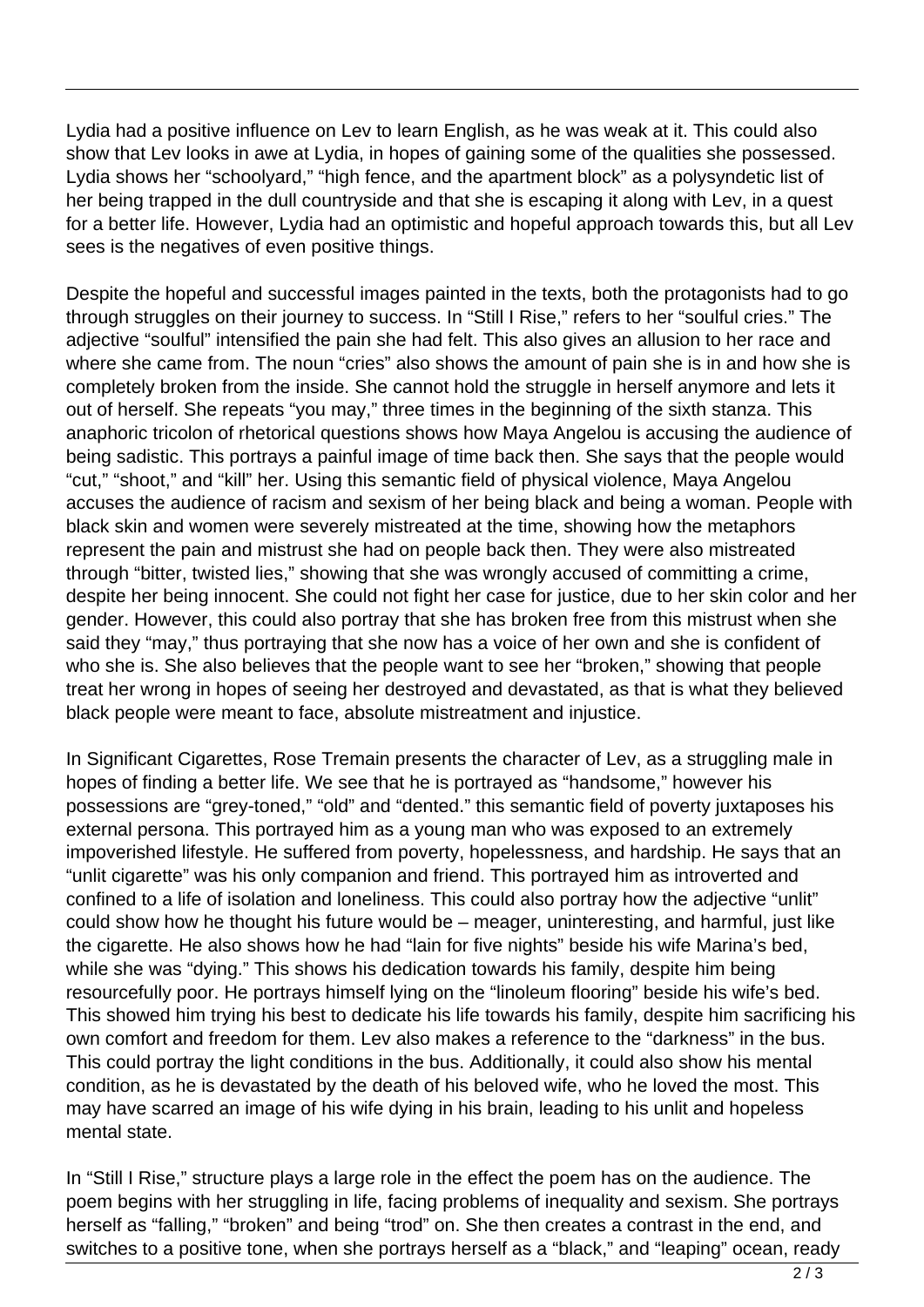Lydia had a positive influence on Lev to learn English, as he was weak at it. This could also show that Lev looks in awe at Lydia, in hopes of gaining some of the qualities she possessed. Lydia shows her "schoolyard," "high fence, and the apartment block" as a polysyndetic list of her being trapped in the dull countryside and that she is escaping it along with Lev, in a quest for a better life. However, Lydia had an optimistic and hopeful approach towards this, but all Lev sees is the negatives of even positive things.

Despite the hopeful and successful images painted in the texts, both the protagonists had to go through struggles on their journey to success. In "Still I Rise," refers to her "soulful cries." The adjective "soulful" intensified the pain she had felt. This also gives an allusion to her race and where she came from. The noun "cries" also shows the amount of pain she is in and how she is completely broken from the inside. She cannot hold the struggle in herself anymore and lets it out of herself. She repeats "you may," three times in the beginning of the sixth stanza. This anaphoric tricolon of rhetorical questions shows how Maya Angelou is accusing the audience of being sadistic. This portrays a painful image of time back then. She says that the people would "cut," "shoot," and "kill" her. Using this semantic field of physical violence, Maya Angelou accuses the audience of racism and sexism of her being black and being a woman. People with black skin and women were severely mistreated at the time, showing how the metaphors represent the pain and mistrust she had on people back then. They were also mistreated through "bitter, twisted lies," showing that she was wrongly accused of committing a crime, despite her being innocent. She could not fight her case for justice, due to her skin color and her gender. However, this could also portray that she has broken free from this mistrust when she said they "may," thus portraying that she now has a voice of her own and she is confident of who she is. She also believes that the people want to see her "broken," showing that people treat her wrong in hopes of seeing her destroyed and devastated, as that is what they believed black people were meant to face, absolute mistreatment and injustice.

In Significant Cigarettes, Rose Tremain presents the character of Lev, as a struggling male in hopes of finding a better life. We see that he is portrayed as "handsome," however his possessions are "grey-toned," "old" and "dented." this semantic field of poverty juxtaposes his external persona. This portrayed him as a young man who was exposed to an extremely impoverished lifestyle. He suffered from poverty, hopelessness, and hardship. He says that an "unlit cigarette" was his only companion and friend. This portrayed him as introverted and confined to a life of isolation and loneliness. This could also portray how the adjective "unlit" could show how he thought his future would be – meager, uninteresting, and harmful, just like the cigarette. He also shows how he had "lain for five nights" beside his wife Marina's bed, while she was "dying." This shows his dedication towards his family, despite him being resourcefully poor. He portrays himself lying on the "linoleum flooring" beside his wife's bed. This showed him trying his best to dedicate his life towards his family, despite him sacrificing his own comfort and freedom for them. Lev also makes a reference to the "darkness" in the bus. This could portray the light conditions in the bus. Additionally, it could also show his mental condition, as he is devastated by the death of his beloved wife, who he loved the most. This may have scarred an image of his wife dying in his brain, leading to his unlit and hopeless mental state.

In "Still I Rise," structure plays a large role in the effect the poem has on the audience. The poem begins with her struggling in life, facing problems of inequality and sexism. She portrays herself as "falling," "broken" and being "trod" on. She then creates a contrast in the end, and switches to a positive tone, when she portrays herself as a "black," and "leaping" ocean, ready